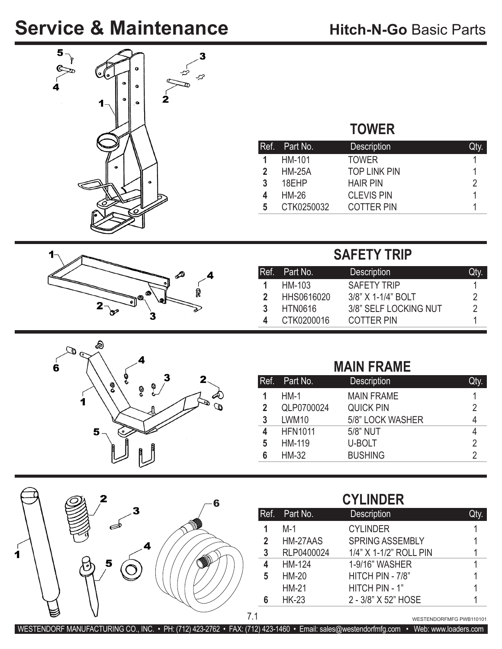## **Service & Maintenance**







# **TOWER**

|                            | Ref. Part No., | <b>Description</b>  | Qty. |
|----------------------------|----------------|---------------------|------|
|                            | HM-101         | <b>TOWER</b>        |      |
| $\boldsymbol{\mathcal{P}}$ | <b>HM-25A</b>  | <b>TOP LINK PIN</b> |      |
| 3                          | 18EHP          | <b>HAIR PIN</b>     | 2    |
| 4                          | <b>HM-26</b>   | <b>CLEVIS PIN</b>   |      |
| 5                          | CTK0250032     | <b>COTTER PIN</b>   |      |

### **SAFETY TRIP**

|   | IRef. Part No. | <b>Description</b>    | Qtv |
|---|----------------|-----------------------|-----|
|   | HM-103         | <b>SAFETY TRIP</b>    |     |
| 2 | HHS0616020     | 3/8" X 1-1/4" BOLT    |     |
| 3 | <b>HTN0616</b> | 3/8" SELF LOCKING NUT | 2   |
|   | CTK0200016     | <b>COTTER PIN</b>     |     |

#### **MAIN FRAME**

|                | Ref. Part No.  | <b>Description</b> | <b>Qty</b> |
|----------------|----------------|--------------------|------------|
|                | $HM-1$         | <b>MAIN FRAME</b>  |            |
| $\overline{2}$ | QLP0700024     | <b>QUICK PIN</b>   | 2          |
| 3              | LWM10          | 5/8" LOCK WASHER   |            |
| 4              | <b>HFN1011</b> | 5/8" NUT           |            |
| 5              | HM-119         | U-BOLT             | 2          |
| 6              | <b>HM-32</b>   | <b>BUSHING</b>     |            |

|   | 2 | 6 |
|---|---|---|
| п |   |   |
|   |   |   |

| <b>CYLINDER</b> |  |
|-----------------|--|
|                 |  |
|                 |  |

|                | Ref. Part No. | <b>Description</b>     | Qty. |
|----------------|---------------|------------------------|------|
| 1              | M-1           | <b>CYLINDER</b>        |      |
| $\overline{2}$ | HM-27AAS      | <b>SPRING ASSEMBLY</b> |      |
| 3              | RLP0400024    | 1/4" X 1-1/2" ROLL PIN |      |
| 4              | HM-124        | 1-9/16" WASHER         |      |
| 5              | <b>HM-20</b>  | HITCH PIN - 7/8"       |      |
|                | <b>HM-21</b>  | HITCH PIN - 1"         |      |
| 6              | <b>HK-23</b>  | 2 - 3/8" X 52" HOSE    |      |

WESTENDORFMFG PWB110101

WESTENDORF MANUFACTURING CO., INC. • PH: (712) 423-2762 • FAX: (712) 423-1460 • Email: sales@westendorfmfg.com • Web: www.loaders.com